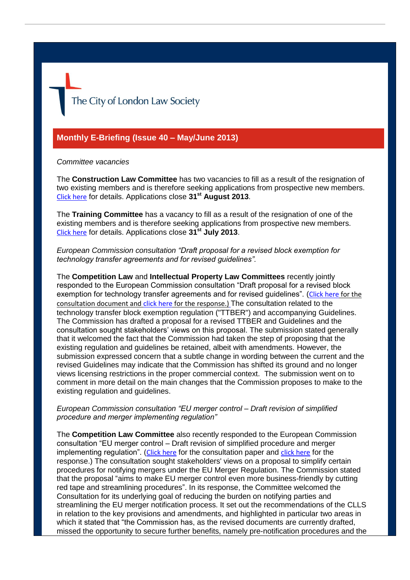The City of London Law Society

#### **Monthly E-Briefing (Issue 40 – May/June 2013)**

#### *Committee vacancies*

The **Construction Law Committee** has two vacancies to fill as a result of the resignation of two existing members and is therefore seeking applications from prospective new members. [Click here](http://www.citysolicitors.org.uk/FileServer.aspx?oID=1405&lID=0) for details. Applications close **31st August 2013**.

The **Training Committee** has a vacancy to fill as a result of the resignation of one of the existing members and is therefore seeking applications from prospective new members. [Click here](http://www.citysolicitors.org.uk/FileServer.aspx?oID=1389&lID=0) for details. Applications close **31st July 2013**.

*European Commission consultation "Draft proposal for a revised block exemption for technology transfer agreements and for revised guidelines".*

The **Competition Law** and **Intellectual Property Law Committees** recently jointly responded to the European Commission consultation "Draft proposal for a revised block exemption for technology transfer agreements and for revised guidelines". ([Click here](http://ec.europa.eu/competition/consultations/2013_technology_transfer/index_en.html) for the consultation document and [click here](http://www.citysolicitors.org.uk/FileServer.aspx?oID=1390&lID=0) for the response.) The consultation related to the technology transfer block exemption regulation ("TTBER") and accompanying Guidelines. The Commission has drafted a proposal for a revised TTBER and Guidelines and the consultation sought stakeholders' views on this proposal. The submission stated generally that it welcomed the fact that the Commission had taken the step of proposing that the existing regulation and guidelines be retained, albeit with amendments. However, the submission expressed concern that a subtle change in wording between the current and the revised Guidelines may indicate that the Commission has shifted its ground and no longer views licensing restrictions in the proper commercial context. The submission went on to comment in more detail on the main changes that the Commission proposes to make to the existing regulation and guidelines.

*European Commission consultation "EU merger control – Draft revision of simplified procedure and merger implementing regulation"*

The **Competition Law Committee** also recently responded to the European Commission consultation "EU merger control – Draft revision of simplified procedure and merger implementing regulation". ([Click here](http://ec.europa.eu/competition/consultations/2013_merger_regulation/index_en.html) for the consultation paper and [click here](http://www.citysolicitors.org.uk/FileServer.aspx?oID=1398&lID=0) for the response.) The consultation sought stakeholders' views on a proposal to simplify certain procedures for notifying mergers under the EU Merger Regulation. The Commission stated that the proposal "aims to make EU merger control even more business-friendly by cutting red tape and streamlining procedures". In its response, the Committee welcomed the Consultation for its underlying goal of reducing the burden on notifying parties and streamlining the EU merger notification process. It set out the recommendations of the CLLS in relation to the key provisions and amendments, and highlighted in particular two areas in which it stated that "the Commission has, as the revised documents are currently drafted, missed the opportunity to secure further benefits, namely pre-notification procedures and the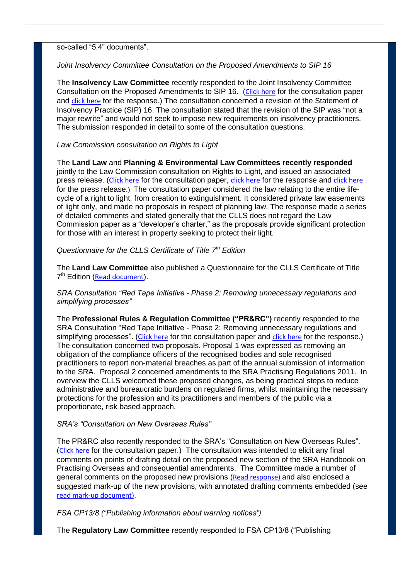so-called "5.4" documents".

*Joint Insolvency Committee Consultation on the Proposed Amendments to SIP 16*

The **Insolvency Law Committee** recently responded to the Joint Insolvency Committee Consultation on the Proposed Amendments to SIP 16. ([Click here](http://www.icaew.com/en/technical/insolvency/insolvency-regulations-and-standards/consultation-on-statements-of-insolvency-practice) for the consultation paper and [click here](http://www.citysolicitors.org.uk/FileServer.aspx?oID=1378&lID=0) for the response.) The consultation concerned a revision of the Statement of Insolvency Practice (SIP) 16. The consultation stated that the revision of the SIP was "not a major rewrite" and would not seek to impose new requirements on insolvency practitioners. The submission responded in detail to some of the consultation questions.

## *Law Commission consultation on Rights to Light*

The **Land Law** and **Planning & Environmental Law Committees recently responded** jointly to the Law Commission consultation on Rights to Light, and issued an associated press release. ([Click here](http://lawcommission.justice.gov.uk/consultations/rights-to-light.htm) for the consultation paper, [click here](http://www.citysolicitors.org.uk/FileServer.aspx?oID=1379&lID=0) for the response and [click here](http://www.citysolicitors.org.uk/FileServer.aspx?oID=1383&lID=0) for the press release.) The consultation paper considered the law relating to the entire lifecycle of a right to light, from creation to extinguishment. It considered private law easements of light only, and made no proposals in respect of planning law. The response made a series of detailed comments and stated generally that the CLLS does not regard the Law Commission paper as a "developer's charter," as the proposals provide significant protection for those with an interest in property seeking to protect their light.

*Questionnaire for the CLLS Certificate of Title 7th Edition*

The **Land Law Committee** also published a Questionnaire for the CLLS Certificate of Title 7<sup>th</sup> Edition ([Read document](http://www.citysolicitors.org.uk/FileServer.aspx?oID=1373&lID=0)).

*SRA Consultation "Red Tape Initiative - Phase 2: Removing unnecessary regulations and simplifying processes"*

The **Professional Rules & Regulation Committee ("PR&RC")** recently responded to the SRA Consultation "Red Tape Initiative - Phase 2: Removing unnecessary regulations and simplifying processes". ([Click here](http://www.sra.org.uk/sra/consultations/red-tape-initiative-phase-2.page) for the consultation paper and [click here](http://www.citysolicitors.org.uk/FileServer.aspx?oID=1402&lID=0) for the response.) The consultation concerned two proposals. Proposal 1 was expressed as removing an obligation of the compliance officers of the recognised bodies and sole recognised practitioners to report non-material breaches as part of the annual submission of information to the SRA. Proposal 2 concerned amendments to the SRA Practising Regulations 2011. In overview the CLLS welcomed these proposed changes, as being practical steps to reduce administrative and bureaucratic burdens on regulated firms, whilst maintaining the necessary protections for the profession and its practitioners and members of the public via a proportionate, risk based approach.

## *SRA's "Consultation on New Overseas Rules"*

The PR&RC also recently responded to the SRA's "Consultation on New Overseas Rules". ([Click here](http://www.sra.org.uk/sra/consultations/practising-overseas.page) for the consultation paper.) The consultation was intended to elicit any final comments on points of drafting detail on the proposed new section of the SRA Handbook on Practising Overseas and consequential amendments. The Committee made a number of general comments on the proposed new provisions ([Read response\)](http://www.citysolicitors.org.uk/FileServer.aspx?oID=1403&lID=0) and also enclosed a suggested mark-up of the new provisions, with annotated drafting comments embedded (see [read mark-up document\)](http://www.citysolicitors.org.uk/FileServer.aspx?oID=1404&lID=0).

# *FSA CP13/8 ("Publishing information about warning notices")*

The **Regulatory Law Committee** recently responded to FSA CP13/8 ("Publishing